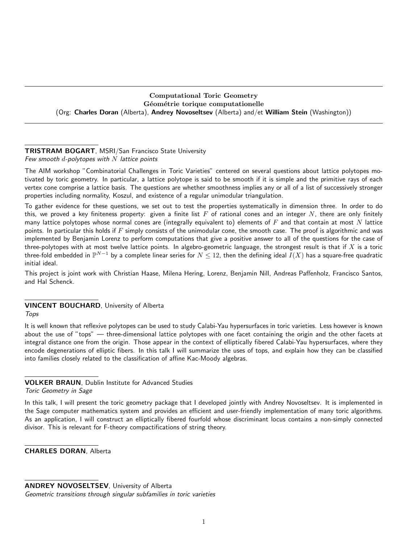Computational Toric Geometry Géométrie torique computationelle (Org: Charles Doran (Alberta), Andrey Novoseltsev (Alberta) and/et William Stein (Washington))

## TRISTRAM BOGART, MSRI/San Francisco State University Few smooth  $d$ -polytopes with  $N$  lattice points

The AIM workshop "Combinatorial Challenges in Toric Varieties" centered on several questions about lattice polytopes motivated by toric geometry. In particular, a lattice polytope is said to be smooth if it is simple and the primitive rays of each vertex cone comprise a lattice basis. The questions are whether smoothness implies any or all of a list of successively stronger properties including normality, Koszul, and existence of a regular unimodular triangulation.

To gather evidence for these questions, we set out to test the properties systematically in dimension three. In order to do this, we proved a key finiteness property: given a finite list  $F$  of rational cones and an integer  $N$ , there are only finitely many lattice polytopes whose normal cones are (integrally equivalent to) elements of  $F$  and that contain at most N lattice points. In particular this holds if  $F$  simply consists of the unimodular cone, the smooth case. The proof is algorithmic and was implemented by Benjamin Lorenz to perform computations that give a positive answer to all of the questions for the case of three-polytopes with at most twelve lattice points. In algebro-geometric language, the strongest result is that if  $X$  is a toric three-fold embedded in  $\mathbb P^{N-1}$  by a complete linear series for  $N\le 12$ , then the defining ideal  $I(X)$  has a square-free quadratic initial ideal.

This project is joint work with Christian Haase, Milena Hering, Lorenz, Benjamin Nill, Andreas Paffenholz, Francisco Santos, and Hal Schenck.

## VINCENT BOUCHARD, University of Alberta

Tops

It is well known that reflexive polytopes can be used to study Calabi-Yau hypersurfaces in toric varieties. Less however is known about the use of "tops" — three-dimensional lattice polytopes with one facet containing the origin and the other facets at integral distance one from the origin. Those appear in the context of elliptically fibered Calabi-Yau hypersurfaces, where they encode degenerations of elliptic fibers. In this talk I will summarize the uses of tops, and explain how they can be classified into families closely related to the classification of affine Kac-Moody algebras.

VOLKER BRAUN, Dublin Institute for Advanced Studies

Toric Geometry in Sage

In this talk, I will present the toric geometry package that I developed jointly with Andrey Novoseltsev. It is implemented in the Sage computer mathematics system and provides an efficient and user-friendly implementation of many toric algorithms. As an application, I will construct an elliptically fibered fourfold whose discriminant locus contains a non-simply connected divisor. This is relevant for F-theory compactifications of string theory.

CHARLES DORAN, Alberta

ANDREY NOVOSELTSEV, University of Alberta

Geometric transitions through singular subfamilies in toric varieties